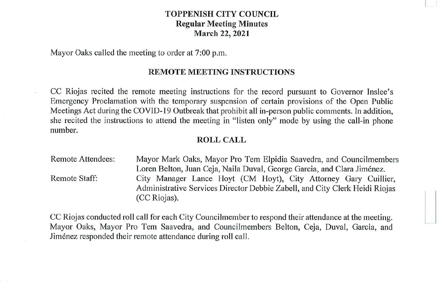# **TOPPENISH CITY COUNCIL Regular Meeting Minutes March 22, 2021**

Mayor Oaks called the meeting to order at 7:00 p.m.

#### **REMOTE MEETING INSTRUCTIONS**

CC Riojas recited the remote meeting instructions for the record pursuant to Governor Inslee's Emergency Proclamation with the temporary suspension of certain provisions of the Open Public Meetings Act during the COVID-19 Outbreak that prohibit all in-person public comments. In addition, she recited the instructions to attend the meeting in "listen only" mode by using the call-in phone number.

# **ROLL CALL**

Remote Attendees: Remote Staff: Mayor Mark Oaks, Mayor Pro Tern Elpidia Saavedra, and Councilmembers Loren Belton, Juan Ceja, Naila Duval, George Garcia, and Clara Jiménez. City Manager Lance Hoyt (CM Hoyt), City Attorney Gary Cuillier, Administrative Services Director Debbie Zabel!, and City Clerk Heidi Riojas (CC Riojas).

CC Riojas conducted roll call for each City Councilmember to respond their attendance at the meeting. Mayor Oaks, Mayor Pro Tem Saavedra, and Councilmembers Belton, Ceja, Duval, Garcia, and Jimenez responded their remote attendance during roll call.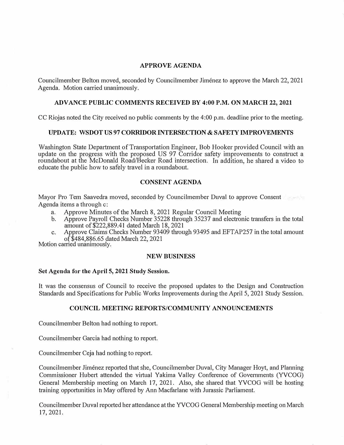#### **APPROVE AGENDA**

Councilmember Belton moved, seconded by Councilmember Jimenez to approve the March 22, 2021 Agenda. Motion carried unanimously.

## **ADVANCE PUBLIC COMMENTS RECEIVED BY 4:00 P.M. ON MARCH 22, 2021**

CC Riojas noted the City received no public comments by the 4:00 p.m. deadline prior to the meeting.

## **UPDATE: WSDOT US 97 CORRIDOR INTERSECTION** & **SAFETY IMPROVEMENTS**

Washington State Department of Transportation Engineer, Bob Hooker provided Council with an update on the progress with the proposed US 97 Corridor safety improvements to construct a roundabout at the McDonald Road/Becker Road intersection. In addition, he shared a video to educate the public how to safely travel in a roundabout.

## **CONSENT AGENDA**

Mayor Pro Tem Saavedra moved, seconded by Councilmember Duval to approve Consent Agenda items a through c:

- a. Approve Minutes of the March 8, 2021 Regular Council Meeting
- b. Approve Payroll Checks Number 35228 through 35237 and electronic transfers in the total amount of\$222,889.41 dated March 18, 2021
- c. Approve Claims Checks Number 93409 through 93495 and EFT AP257 in the total amount of \$484,886.65 dated March 22, 2021

Motion carried unanimously.

#### **NEW BUSINESS**

#### **Set Agenda for the April 5, 2021 Study Session.**

It was the consensus of Council to receive the proposed updates to the Design and Construction Standards and Specifications for Public Works Improvements during the April 5, 2021 Study Session.

# **COUNCIL MEETING REPORTS/COMMUNITY ANNOUNCEMENTS**

Councilmember Belton had nothing to report.

Councilmember Garcia had nothing to report.

Councilmember Ceja had nothing to report.

Councilmember Jimenez reported that she, Councilmember Duval, City Manager Hoyt, and Planning Commissioner Hubert attended the vittual Yakima Valley Conference of Governments (YVCOG) General Membership meeting on March 17, 2021. Also, she shared that YVCOG will be hosting training opportunities in May offered by Ann Macfarlane with Jurassic Parliament.

Councilmember Duval reported her attendance at the YVCOG General Membership meeting on March 17,2021.